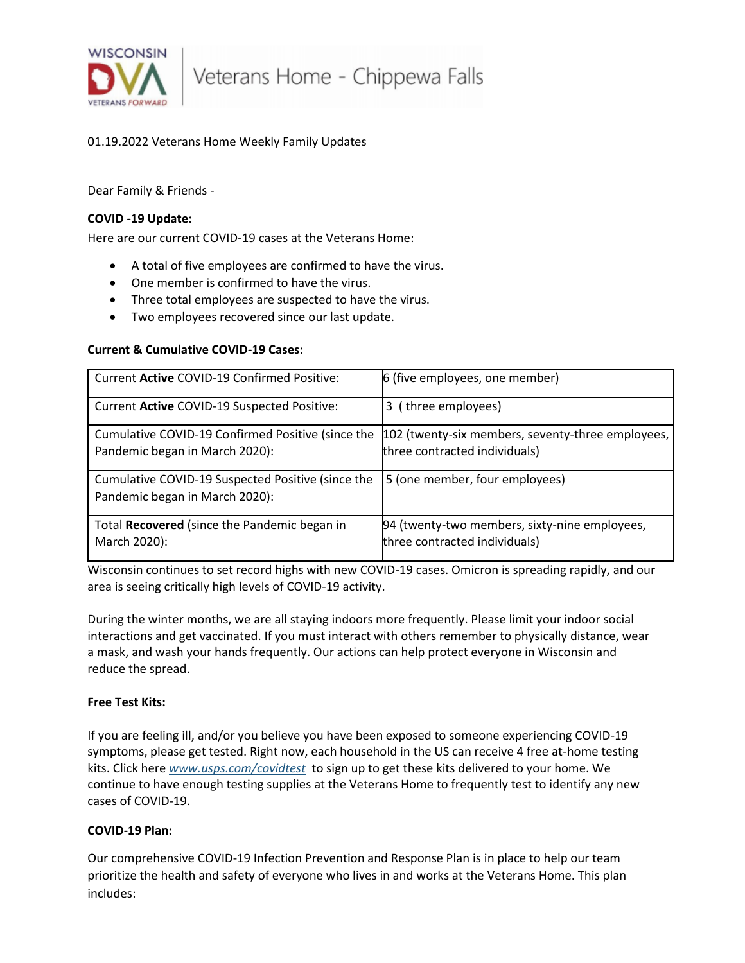

Veterans Home - Chippewa Falls

# 01.19.2022 Veterans Home Weekly Family Updates

Dear Family & Friends -

## **COVID -19 Update:**

Here are our current COVID-19 cases at the Veterans Home:

- A total of five employees are confirmed to have the virus.
- One member is confirmed to have the virus.
- Three total employees are suspected to have the virus.
- Two employees recovered since our last update.

## **Current & Cumulative COVID-19 Cases:**

| Current Active COVID-19 Confirmed Positive:                                         | 6 (five employees, one member)                                                     |
|-------------------------------------------------------------------------------------|------------------------------------------------------------------------------------|
| Current Active COVID-19 Suspected Positive:                                         | 3 (three employees)                                                                |
| Cumulative COVID-19 Confirmed Positive (since the<br>Pandemic began in March 2020): | 102 (twenty-six members, seventy-three employees,<br>three contracted individuals) |
| Cumulative COVID-19 Suspected Positive (since the<br>Pandemic began in March 2020): | 5 (one member, four employees)                                                     |
| Total Recovered (since the Pandemic began in<br>March 2020):                        | 94 (twenty-two members, sixty-nine employees,<br>three contracted individuals)     |

Wisconsin continues to set record highs with new COVID-19 cases. Omicron is spreading rapidly, and our area is seeing critically high levels of COVID-19 activity.

During the winter months, we are all staying indoors more frequently. Please limit your indoor social interactions and get vaccinated. If you must interact with others remember to physically distance, wear a mask, and wash your hands frequently. Our actions can help protect everyone in Wisconsin and reduce the spread.

### **Free Test Kits:**

If you are feeling ill, and/or you believe you have been exposed to someone experiencing COVID-19 symptoms, please get tested. Right now, each household in the US can receive 4 free at-home testing kits. Click here *[www.usps.com/covidtest](https://lnks.gd/l/eyJhbGciOiJIUzI1NiJ9.eyJidWxsZXRpbl9saW5rX2lkIjoxMDAsInVyaSI6ImJwMjpjbGljayIsImJ1bGxldGluX2lkIjoiMjAyMjAxMTkuNTIwNDcwNzEiLCJ1cmwiOiJodHRwOi8vd3d3LnVzcHMuY29tL2NvdmlkdGVzdCJ9.r3UmeHTHTtqkYq5rG12f9m0VBDmQ2E_lHdcYtCN-JsY/s/631542316/br/125324320159-l)* to sign up to get these kits delivered to your home. We continue to have enough testing supplies at the Veterans Home to frequently test to identify any new cases of COVID-19.

### **COVID-19 Plan:**

Our comprehensive COVID-19 Infection Prevention and Response Plan is in place to help our team prioritize the health and safety of everyone who lives in and works at the Veterans Home. This plan includes: